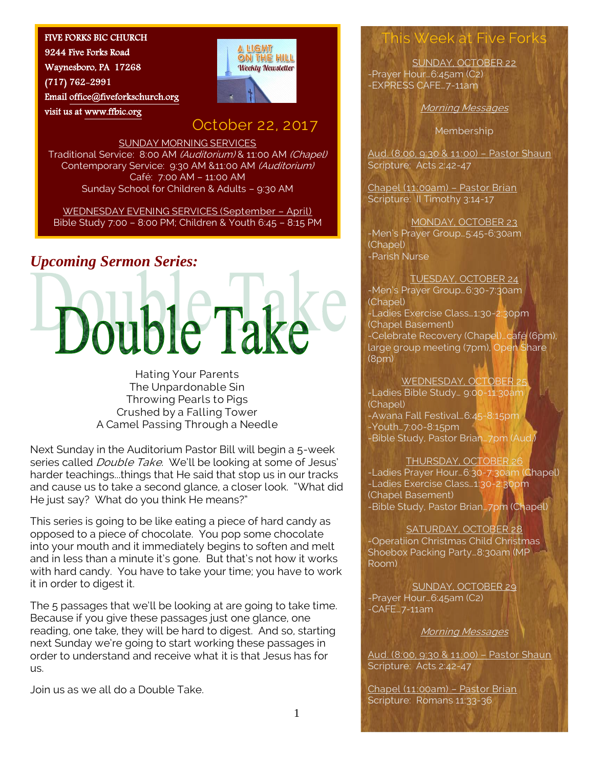#### FIVE FORKS BIC CHURCH

9244 Five Forks Road Waynesboro, PA 17268 (717) 762-2991 Emai[l office@fiveforkschurch.org](mailto:office@fiveforkschurch.org)  visit us at [www.ffbic.org](http://www.ffbic.org/) 



# October 22, 2017

SUNDAY MORNING SERVICES Traditional Service: 8:00 AM (Auditorium) & 11:00 AM (Chapel) Contemporary Service: 9:30 AM &11:00 AM (Auditorium) Café: 7:00 AM – 11:00 AM Sunday School for Children & Adults – 9:30 AM

WEDNESDAY EVENING SERVICES (September – April) Bible Study 7:00 – 8:00 PM; Children & Youth 6:45 – 8:15 PM

# *Upcoming Sermon Series:*



Hating Your Parents The Unpardonable Sin Throwing Pearls to Pigs Crushed by a Falling Tower A Camel Passing Through a Needle

Next Sunday in the Auditorium Pastor Bill will begin a 5-week series called *Double Take*. We'll be looking at some of Jesus' harder teachings...things that He said that stop us in our tracks and cause us to take a second glance, a closer look. "What did He just say? What do you think He means?"

This series is going to be like eating a piece of hard candy as opposed to a piece of chocolate. You pop some chocolate into your mouth and it immediately begins to soften and melt and in less than a minute it's gone. But that's not how it works with hard candy. You have to take your time; you have to work it in order to digest it.

The 5 passages that we'll be looking at are going to take time. Because if you give these passages just one glance, one reading, one take, they will be hard to digest. And so, starting next Sunday we're going to start working these passages in order to understand and receive what it is that Jesus has for us.

Join us as we all do a Double Take.

### s Week at Five For

SUNDAY, OCTOBER 22 -Prayer Hour…6:45am (C2) -EXPRESS CAFE…7-11am

Morning Messages

Membership

Aud. (8:00, 9:30 & 11:00) – Pastor Shaun Scripture: Acts 2:42-47

Chapel (11:00am) – Pastor Brian Scripture: Il Timothy 3:14-17

#### MONDAY, OCTOBER 23

-Men's Prayer Group…5:45-6:30am (Chapel) -Parish Nurse

TUESDAY, OCTOBER 24 -Men's Prayer Group…6:30-7:30am (Chapel) -Ladies Exercise Class…1:30-2:30pm (Chapel Basement) -Celebrate Recovery (Chapel)…café (6pm), large group meeting (7pm), Open Share (8pm)

#### WEDNESDAY, OCTOBER 25

-Ladies Bible Study… 9:00-11:30am (Chapel) -Awana Fall Festival…6:45-8:15pm -Youth…7:00-8:15pm -Bible Study, Pastor Brian…7pm (Aud.)

#### THURSDAY, OCTOBER 26

-Ladies Prayer Hour…6:30-7:30am (Chapel) -Ladies Exercise Class…1:30-2:30pm (Chapel Basement) -Bible Study, Pastor Brian…7pm (Chapel)

SATURDAY, OCTOBER 28

-Operatiion Christmas Child Christmas Shoebox Packing Party...8:30am (MP Room)

SUNDAY, OCTOBER 29 -Prayer Hour…6:45am (C2) -CAFE…7-11am

Morning Messages

Aud. (8:00, 9:30 & 11:00) – Pastor Shaun Scripture: Acts 2:42-47

Chapel (11:00am) – Pastor Brian Scripture: Romans 11:33-36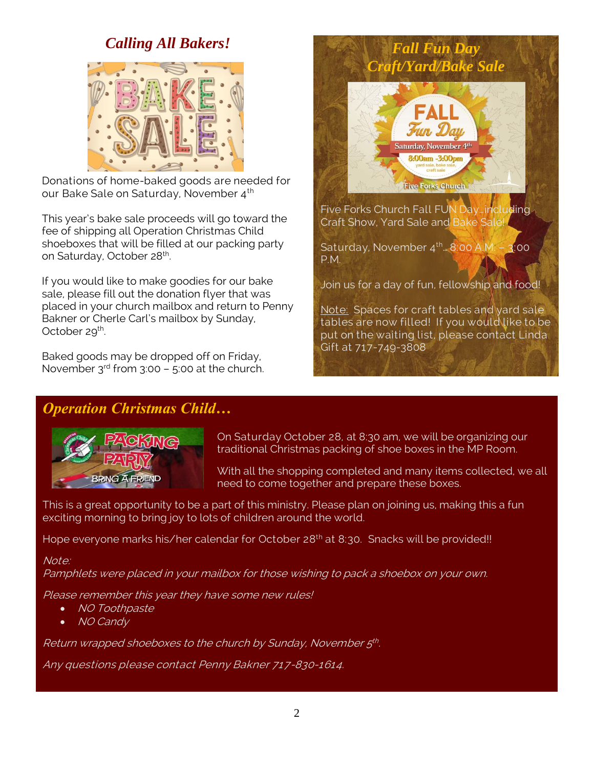# *Calling All Bakers!*



Donations of home-baked goods are needed for our Bake Sale on Saturday, November 4<sup>th</sup>

This year's bake sale proceeds will go toward the fee of shipping all Operation Christmas Child shoeboxes that will be filled at our packing party on Saturday, October 28<sup>th</sup>. .

If you would like to make goodies for our bake sale, please fill out the donation flyer that was placed in your church mailbox and return to Penny Bakner or Cherle Carl's mailbox by Sunday, October 29<sup>th</sup>.

Baked goods may be dropped off on Friday, November  $3^{rd}$  from  $3:00 - 5:00$  at the church.



Join us for a day of fun, fellowship and food!

Note: Spaces for craft tables and yard sale tables are now filled! If you would like to be put on the waiting list, please contact Linda Gift at 717-749-3808

# *Operation Christmas Child…*



On Saturday October 28, at 8:30 am, we will be organizing our traditional Christmas packing of shoe boxes in the MP Room.

With all the shopping completed and many items collected, we all need to come together and prepare these boxes.

This is a great opportunity to be a part of this ministry. Please plan on joining us, making this a fun exciting morning to bring joy to lots of children around the world.

Hope everyone marks his/her calendar for October 28<sup>th</sup> at 8:30. Snacks will be provided!!

### Note:

Pamphlets were placed in your mailbox for those wishing to pack a shoebox on your own.

Please remember this year they have some new rules!

- NO Toothpaste
- NO Candy

Return wrapped shoeboxes to the church by Sunday, November 5th.

Any questions please contact Penny Bakner 717-830-1614.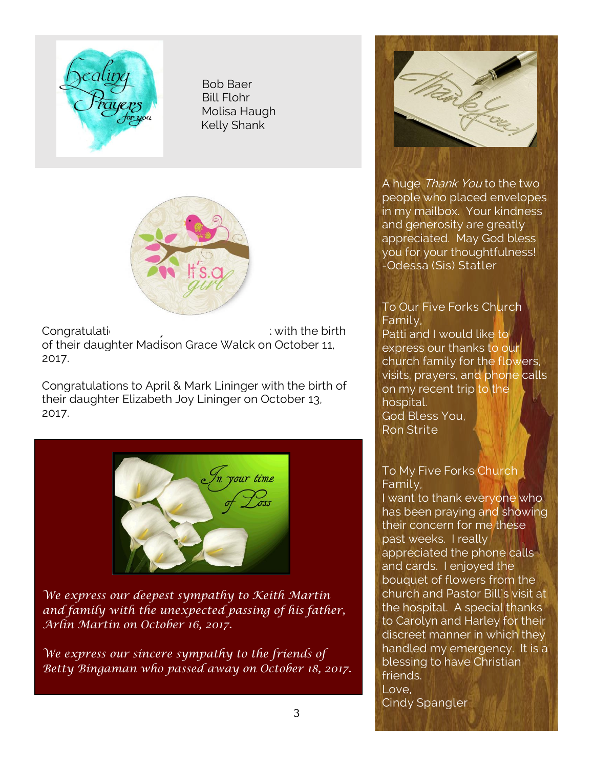

 Bob Baer Bill Flohr Molisa Haugh Kelly Shank



Congratulations to Annual Congratulations to Kayla & Jamison Walch with the birth of their daughter Madison Grace Walck on October 11, 2017.

Congratulations to April & Mark Lininger with the birth of their daughter Elizabeth Joy Lininger on October 13, 2017.



*We express our deepest sympathy to Keith Martin and family with the unexpected passing of his father, Arlin Martin on October 16, 2017.*

*We express our sincere sympathy to the friends of Betty Bingaman who passed away on October 18, 2017.*



A huge Thank You to the two people who placed envelopes in my mailbox. Your kindness and generosity are greatly appreciated. May God bless you for your thoughtfulness! -Odessa (Sis) Statler

### To Our Five Forks Church Family,

Patti and I would like to express our thanks to our church family for the flowers, visits, prayers, and phone calls on my recent trip to the hospital. God Bless You, Ron Strite

### To My Five Forks Church Family,

I want to thank everyone who has been praying and showing their concern for me these past weeks. I really appreciated the phone calls and cards. I enjoyed the bouquet of flowers from the church and Pastor Bill's visit at the hospital. A special thanks to Carolyn and Harley for their discreet manner in which they handled my emergency. It is a blessing to have Christian friends. Love, Cindy Spangler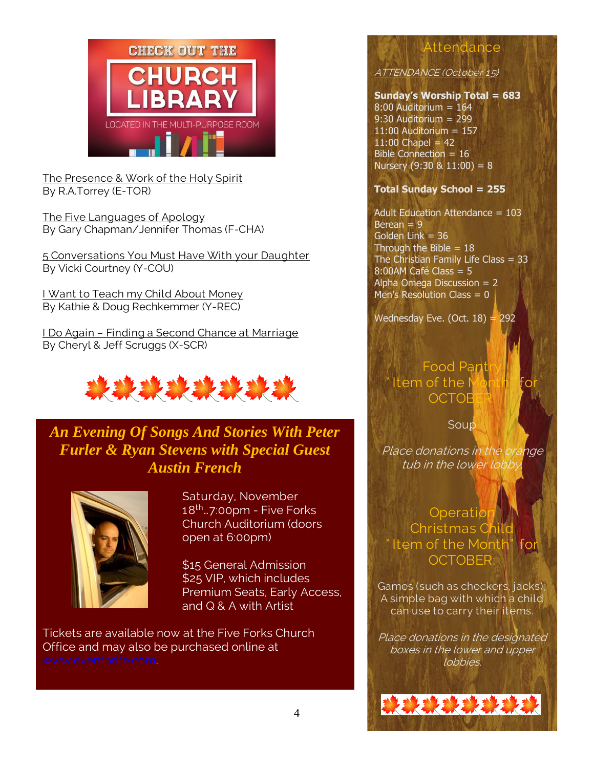

The Presence & Work of the Holy Spirit By R.A.Torrey (E-TOR)

The Five Languages of Apology By Gary Chapman/Jennifer Thomas (F-CHA)

5 Conversations You Must Have With your Daughter By Vicki Courtney (Y-COU)

I Want to Teach my Child About Money By Kathie & Doug Rechkemmer (Y-REC)

I Do Again – Finding a Second Chance at Marriage By Cheryl & Jeff Scruggs (X-SCR)



*An Evening Of Songs And Stories With Peter Furler & Ryan Stevens with Special Guest Austin French*



. .

Saturday, November 18th…7:00pm - Five Forks Church Auditorium (doors open at 6:00pm)

\$15 General Admission \$25 VIP, which includes Premium Seats, Early Access, and Q & A with Artist

Tickets are available now at the Five Forks Church Office and may also be purchased online at

# ATTENDANCE (October 15)

### **Sunday's Worship Total = 683**

Attendance

8:00 Auditorium = 164 9:30 Auditorium = 299 11:00 Auditorium = 157  $11:00$  Chapel = 42 Bible Connection = 16 Nursery  $(9:30 \& 11:00) = 8$ 

### **Total Sunday School = 255**

Adult Education Attendance = 103  $Berean = 9$ Golden Link  $= 36$ Through the Bible  $= 18$ The Christian Family Life Class =  $33$ 8:00AM Café Class = 5 Alpha Omega Discussion = 2 Men's Resolution Class  $= 0$ 

Wednesday Eve. (Oct.  $18$ ) = 292

Food Par Item of the **OCTOE** 

Soup

Place donations in the orange tub in the lower lobby.

### **Operation** Christmas Child " Item of the Month" **OCTOBER**

Games (such as checkers, jacks); A simple bag with which a child can use to carry their items.

Place donations in the designated boxes in the lower and upper lobbies.

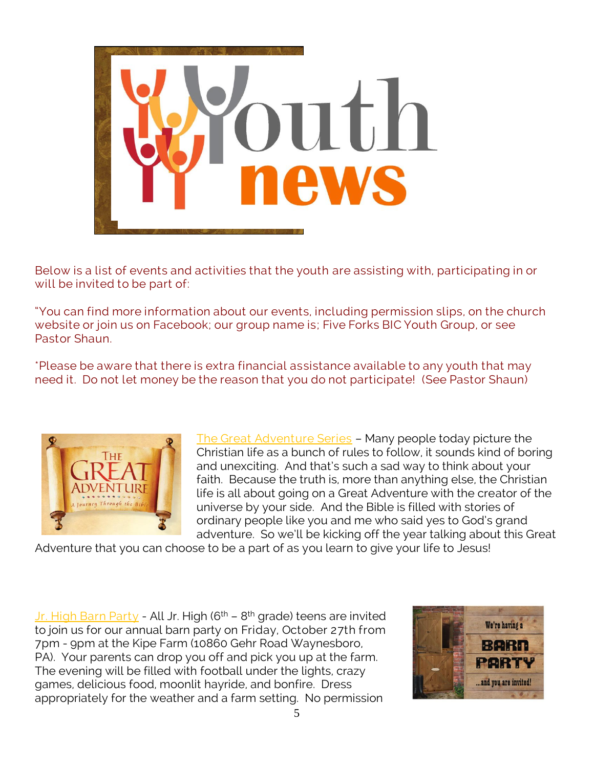

Below is a list of events and activities that the youth are assisting with, participating in or will be invited to be part of:

"You can find more information about our events, including permission slips, on the church website or join us on Facebook; our group name is; Five Forks BIC Youth Group, or see Pastor Shaun.

\*Please be aware that there is extra financial assistance available to any youth that may need it. Do not let money be the reason that you do not participate! (See Pastor Shaun)



The Great Adventure Series – Many people today picture the Christian life as a bunch of rules to follow, it sounds kind of boring and unexciting. And that's such a sad way to think about your faith. Because the truth is, more than anything else, the Christian life is all about going on a Great Adventure with the creator of the universe by your side. And the Bible is filled with stories of ordinary people like you and me who said yes to God's grand adventure. So we'll be kicking off the year talking about this Great

Adventure that you can choose to be a part of as you learn to give your life to Jesus!

<u>Jr. High Barn Party</u> - All Jr. High (6<sup>th</sup> – 8<sup>th</sup> grade) teens are invited to join us for our annual barn party on Friday, October 27th from 7pm - 9pm at the Kipe Farm (10860 Gehr Road Waynesboro, PA). Your parents can drop you off and pick you up at the farm. The evening will be filled with football under the lights, crazy games, delicious food, moonlit hayride, and bonfire. Dress appropriately for the weather and a farm setting. No permission